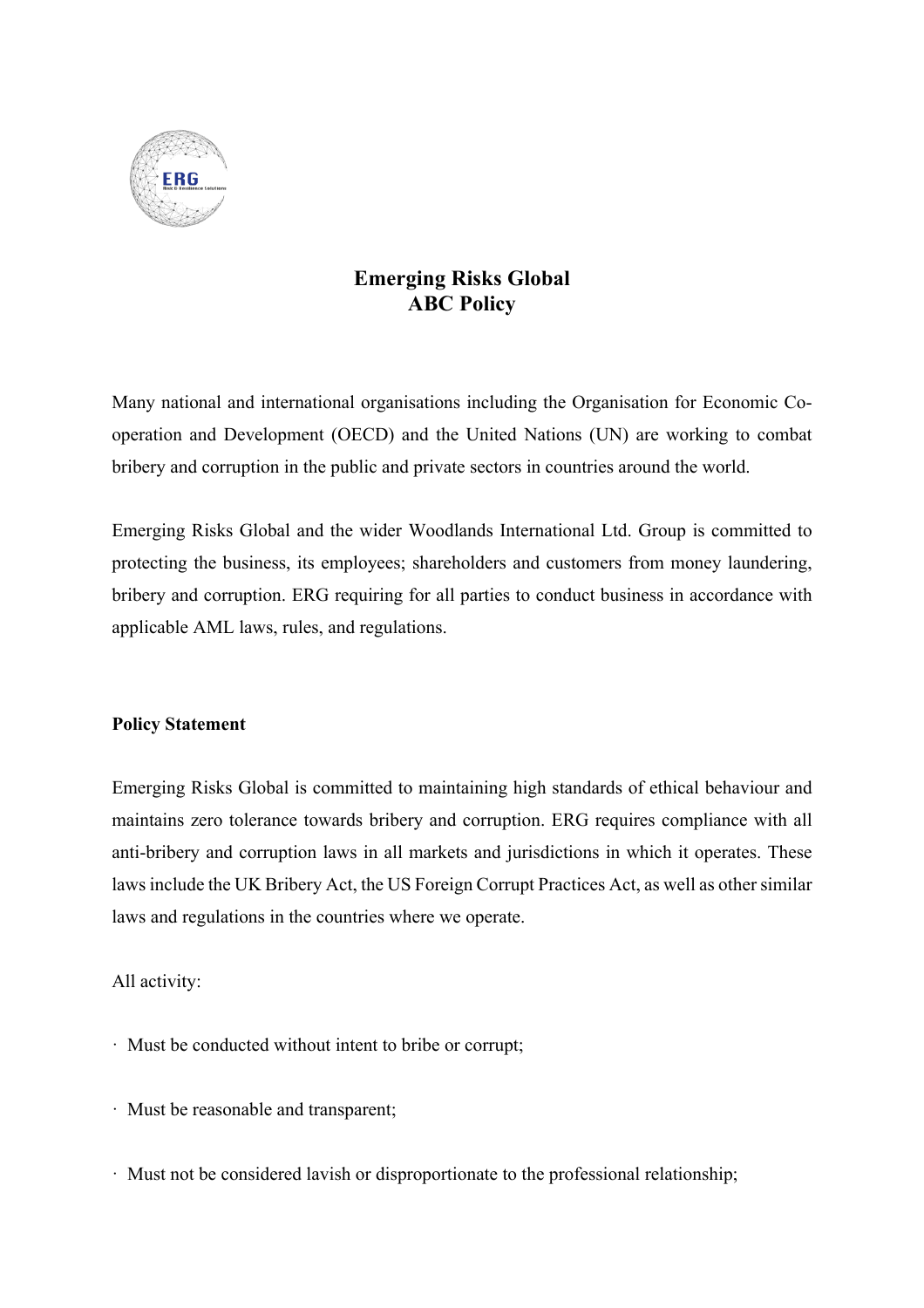

## **Emerging Risks Global ABC Policy**

Many national and international organisations including the Organisation for Economic Cooperation and Development (OECD) and the United Nations (UN) are working to combat bribery and corruption in the public and private sectors in countries around the world.

Emerging Risks Global and the wider Woodlands International Ltd. Group is committed to protecting the business, its employees; shareholders and customers from money laundering, bribery and corruption. ERG requiring for all parties to conduct business in accordance with applicable AML laws, rules, and regulations.

## **Policy Statement**

Emerging Risks Global is committed to maintaining high standards of ethical behaviour and maintains zero tolerance towards bribery and corruption. ERG requires compliance with all anti-bribery and corruption laws in all markets and jurisdictions in which it operates. These laws include the UK Bribery Act, the US Foreign Corrupt Practices Act, as well as other similar laws and regulations in the countries where we operate.

## All activity:

- · Must be conducted without intent to bribe or corrupt;
- · Must be reasonable and transparent;
- · Must not be considered lavish or disproportionate to the professional relationship;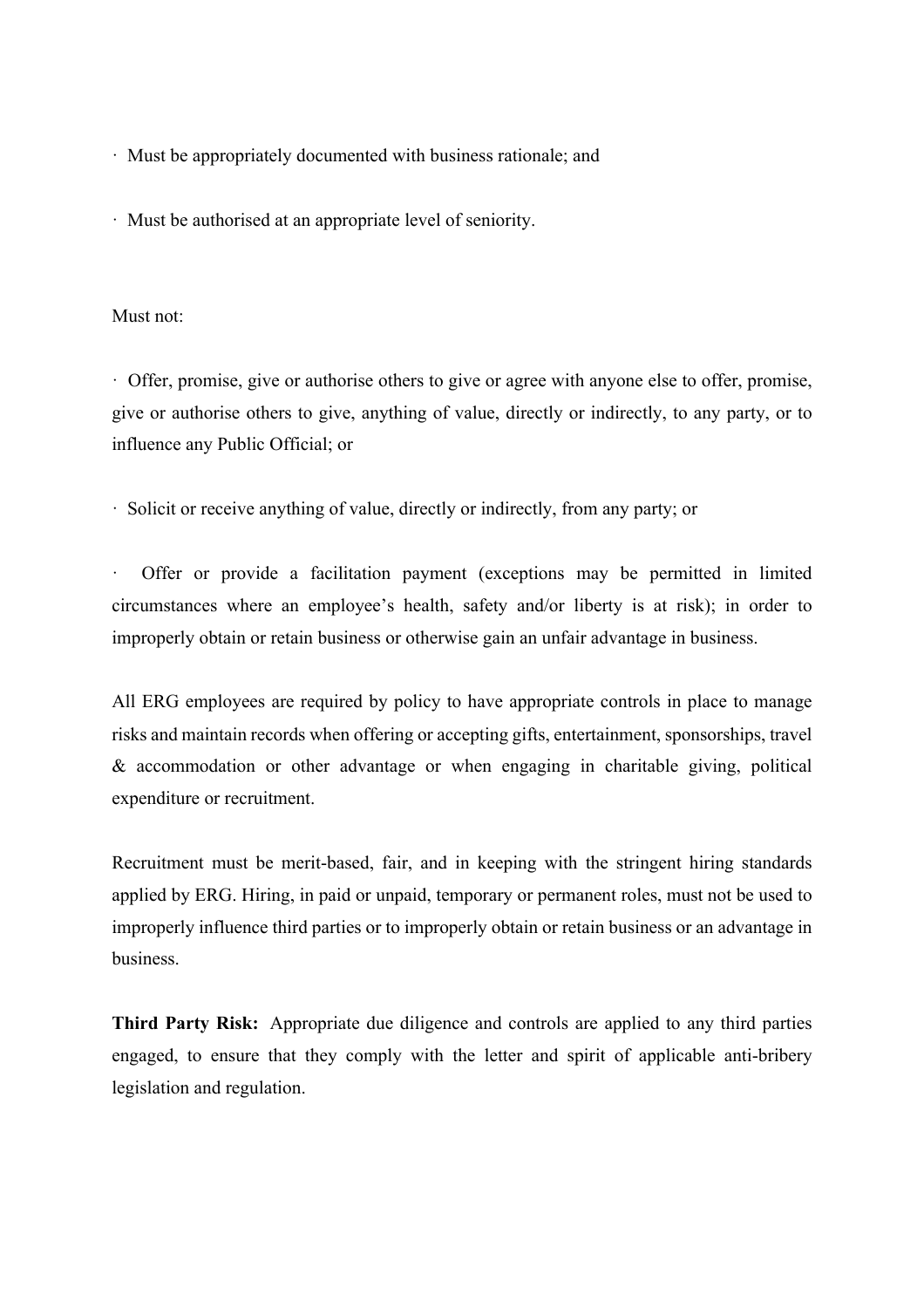· Must be appropriately documented with business rationale; and

· Must be authorised at an appropriate level of seniority.

## Must not:

· Offer, promise, give or authorise others to give or agree with anyone else to offer, promise, give or authorise others to give, anything of value, directly or indirectly, to any party, or to influence any Public Official; or

· Solicit or receive anything of value, directly or indirectly, from any party; or

Offer or provide a facilitation payment (exceptions may be permitted in limited circumstances where an employee's health, safety and/or liberty is at risk); in order to improperly obtain or retain business or otherwise gain an unfair advantage in business.

All ERG employees are required by policy to have appropriate controls in place to manage risks and maintain records when offering or accepting gifts, entertainment, sponsorships, travel & accommodation or other advantage or when engaging in charitable giving, political expenditure or recruitment.

Recruitment must be merit-based, fair, and in keeping with the stringent hiring standards applied by ERG. Hiring, in paid or unpaid, temporary or permanent roles, must not be used to improperly influence third parties or to improperly obtain or retain business or an advantage in business.

**Third Party Risk:** Appropriate due diligence and controls are applied to any third parties engaged, to ensure that they comply with the letter and spirit of applicable anti-bribery legislation and regulation.